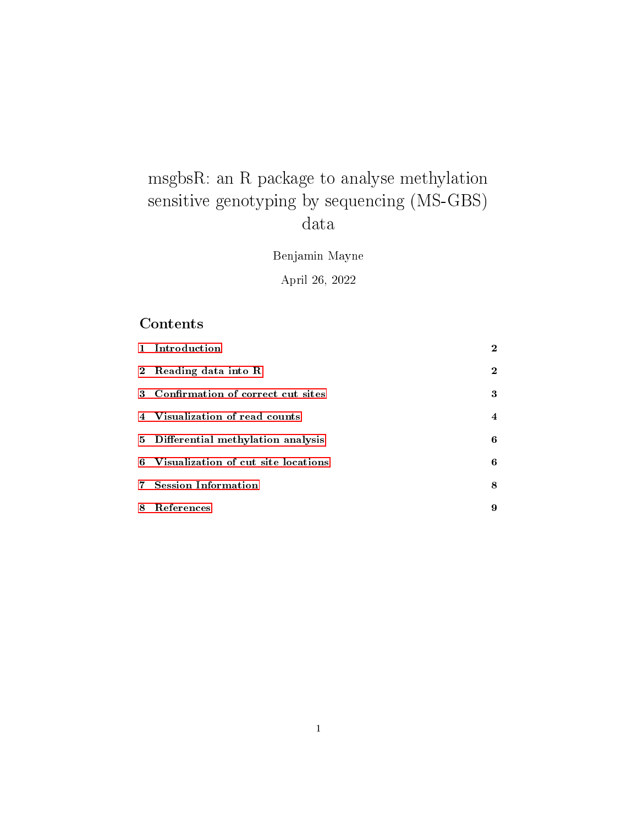# msgbsR: an R package to analyse methylation sensitive genotyping by sequencing (MS-GBS) data

Benjamin Mayne

April 26, 2022

## Contents

| 1 Introduction                        | $\bf{2}$       |
|---------------------------------------|----------------|
| 2 Reading data into R                 | $\bf{2}$       |
| 3 Confirmation of correct cut sites   | 3              |
| 4 Visualization of read counts        | $\overline{4}$ |
| 5 Differential methylation analysis   | 6              |
| 6 Visualization of cut site locations | 6              |
| 7 Session Information                 | 8              |
| 8 References                          | 9              |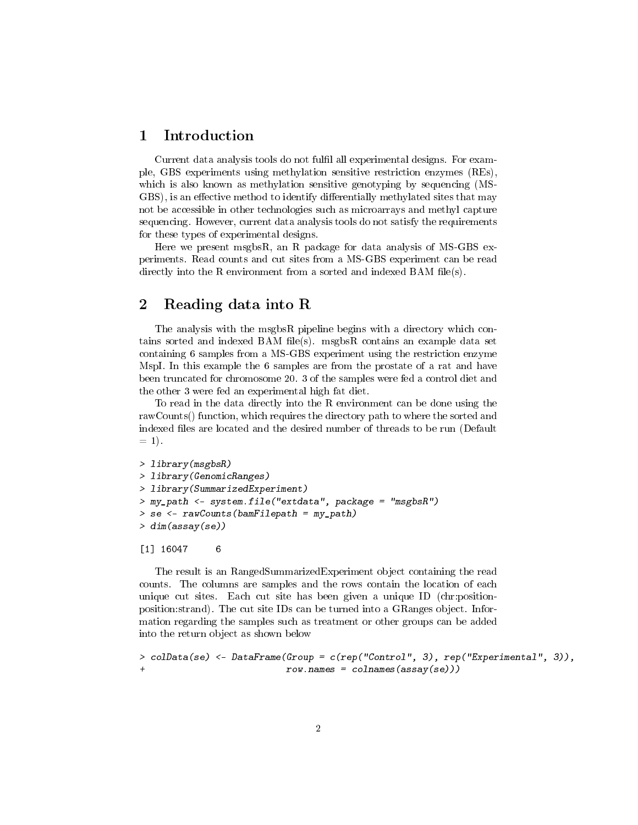## <span id="page-1-0"></span>1 Introduction

Current data analysis tools do not fulfil all experimental designs. For example, GBS experiments using methylation sensitive restriction enzymes (REs), which is also known as methylation sensitive genotyping by sequencing (MS-GBS), is an effective method to identify differentially methylated sites that may not be accessible in other technologies such as microarrays and methyl capture sequencing. However, current data analysis tools do not satisfy the requirements for these types of experimental designs.

Here we present msgbsR, an R package for data analysis of MS-GBS experiments. Read counts and cut sites from a MS-GBS experiment can be read directly into the R environment from a sorted and indexed BAM files).

## <span id="page-1-1"></span>2 Reading data into R

The analysis with the msgbsR pipeline begins with a directory which contains sorted and indexed BAM file(s). msgbsR contains an example data set containing 6 samples from a MS-GBS experiment using the restriction enzyme MspI. In this example the 6 samples are from the prostate of a rat and have been truncated for chromosome 20. 3 of the samples were fed a control diet and the other 3 were fed an experimental high fat diet.

To read in the data directly into the R environment can be done using the rawCounts() function, which requires the directory path to where the sorted and indexed files are located and the desired number of threads to be run (Default  $= 1$ .

```
> library(msgbsR)
> library(GenomicRanges)
> library(SummarizedExperiment)
> my_path <- system.file("extdata", package = "msgbsR")
> se <- rawCounts(bamFilepath = my_path)
> dim(assay(se))
```

```
[1] 16047 6
```
The result is an RangedSummarizedExperiment object containing the read counts. The columns are samples and the rows contain the location of each unique cut sites. Each cut site has been given a unique ID (chr:positionposition:strand). The cut site IDs can be turned into a GRanges object. Information regarding the samples such as treatment or other groups can be added into the return object as shown below

```
> colData(se) <- DataFrame(Group = c(rep("Control", 3), rep("Experimental", 3)),
+ row.names = colnames(assay(se)))
```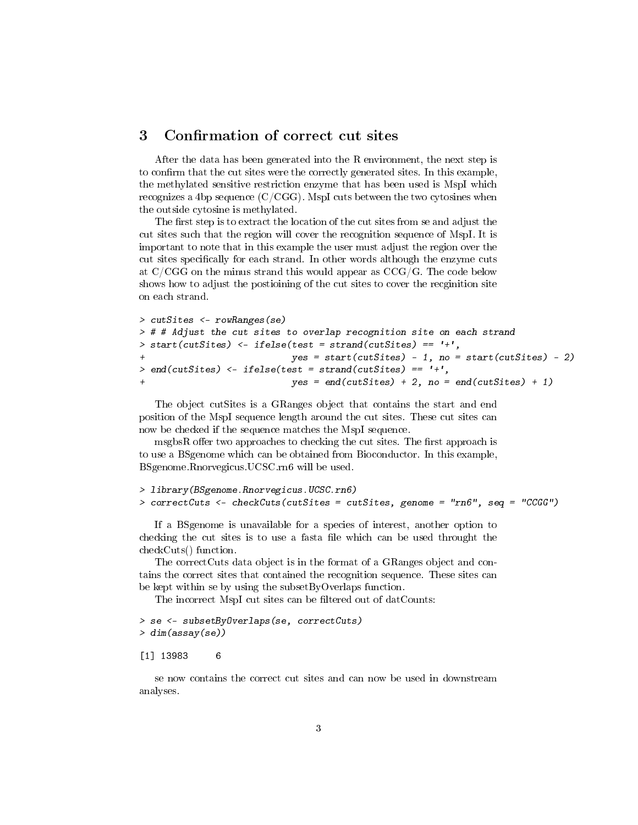### <span id="page-2-0"></span>3 Confirmation of correct cut sites

After the data has been generated into the R environment, the next step is to confirm that the cut sites were the correctly generated sites. In this example, the methylated sensitive restriction enzyme that has been used is MspI which recognizes a 4bp sequence  $(C/CGG)$ . MspI cuts between the two cytosines when the outside cytosine is methylated.

The first step is to extract the location of the cut sites from se and adjust the cut sites such that the region will cover the recognition sequence of MspI. It is important to note that in this example the user must adjust the region over the cut sites specifically for each strand. In other words although the enzyme cuts at  $C/CGG$  on the minus strand this would appear as  $CCG/G$ . The code below shows how to adjust the postioining of the cut sites to cover the recginition site on each strand.

```
> cutSites <- rowRanges(se)
> # # Adjust the cut sites to overlap recognition site on each strand
> start(cutSites) <- ifelse(test = strand(cutSites) == '+',
                            yes = start(cutsites) - 1, no = start(cutsites) - 2)> end(cutSites) <- ifelse(test = strand(cutSites) == '+',
                            yes = end(cutsites) + 2, no = end(cutsites) + 1)
```
The object cutSites is a GRanges object that contains the start and end position of the MspI sequence length around the cut sites. These cut sites can now be checked if the sequence matches the MspI sequence.

msgbsR offer two approaches to checking the cut sites. The first approach is to use a BSgenome which can be obtained from Bioconductor. In this example, BSgenome.Rnorvegicus.UCSC.rn6 will be used.

```
> library(BSgenome.Rnorvegicus.UCSC.rn6)
> correctCuts <- checkCuts(cutSites = cutSites, genome = "rn6", seq = "CCGG")
```
If a BSgenome is unavailable for a species of interest, another option to checking the cut sites is to use a fasta file which can be used throught the checkCuts() function.

The correctCuts data object is in the format of a GRanges object and contains the correct sites that contained the recognition sequence. These sites can be kept within se by using the subsetByOverlaps function.

The incorrect MspI cut sites can be filtered out of datCounts:

```
> se <- subsetByOverlaps(se, correctCuts)
> dim(assay(se))
```
[1] 13983 6

se now contains the correct cut sites and can now be used in downstream analyses.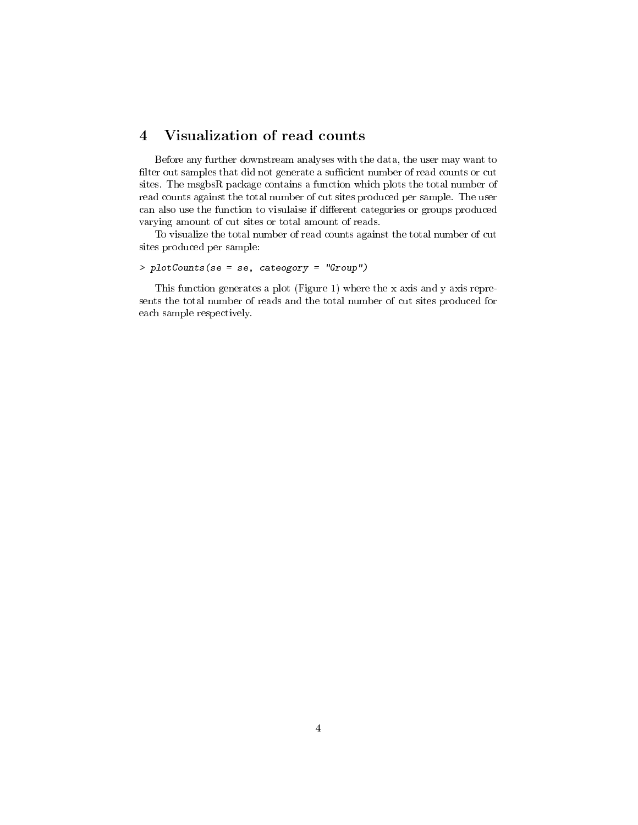## <span id="page-3-0"></span>4 Visualization of read counts

Before any further downstream analyses with the data, the user may want to filter out samples that did not generate a sufficient number of read counts or cut sites. The msgbsR package contains a function which plots the total number of read counts against the total number of cut sites produced per sample. The user can also use the function to visulaise if different categories or groups produced varying amount of cut sites or total amount of reads.

To visualize the total number of read counts against the total number of cut sites produced per sample:

#### > plotCounts(se = se, cateogory = "Group")

This function generates a plot (Figure 1) where the x axis and y axis represents the total number of reads and the total number of cut sites produced for each sample respectively.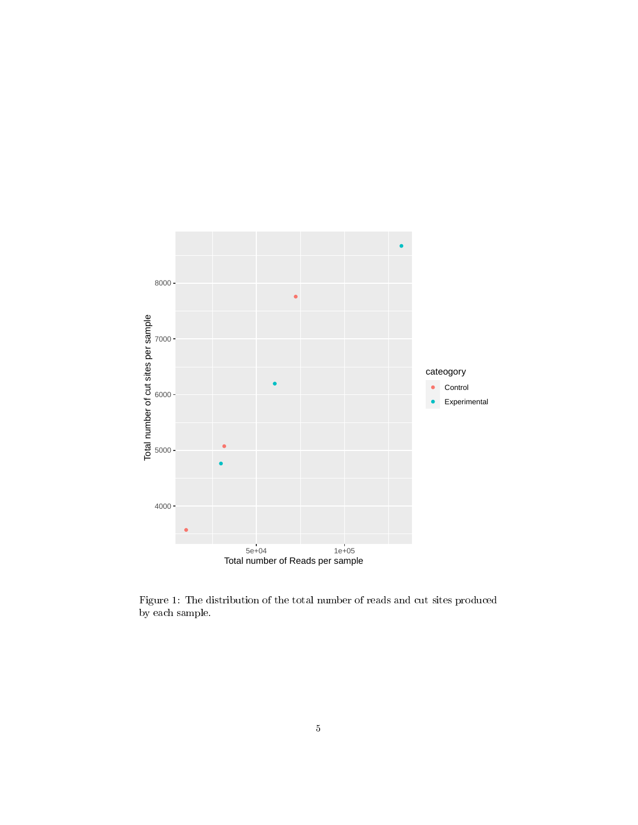

Figure 1: The distribution of the total number of reads and cut sites produced by each sample.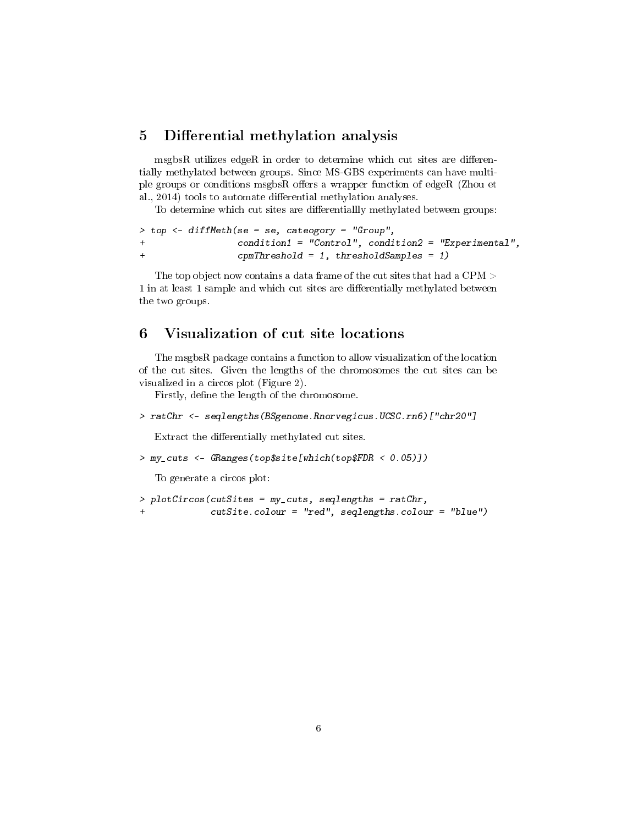## <span id="page-5-0"></span>5 Differential methylation analysis

 $m$ sgbs $R$  utilizes edge $R$  in order to determine which cut sites are differentially methylated between groups. Since MS-GBS experiments can have multiple groups or conditions msgbsR offers a wrapper function of edgeR (Zhou et al., 2014) tools to automate differential methylation analyses.

To determine which cut sites are differentiallly methylated between groups:

```
> top <- diffMeth(se = se, cateogory = "Group",
+ condition1 = "Control", condition2 = "Experimental",
+ cpmThreshold = 1, thresholdSamples = 1)
```
The top object now contains a data frame of the cut sites that had a CPM  $>$ 1 in at least 1 sample and which cut sites are differentially methylated between the two groups.

## <span id="page-5-1"></span>6 Visualization of cut site locations

The msgbsR package contains a function to allow visualization of the location of the cut sites. Given the lengths of the chromosomes the cut sites can be visualized in a circos plot (Figure 2).

Firstly, define the length of the chromosome.

```
> ratChr <- seqlengths(BSgenome.Rnorvegicus.UCSC.rn6)["chr20"]
```
Extract the differentially methylated cut sites.

```
> my_cuts <- GRanges(top$site[which(top$FDR < 0.05)])
```
To generate a circos plot:

```
> plotCircos(cutSites = my_cuts, seqlengths = ratChr,
             cutSite.colour = "red", seqlengths.colour = "blue")
```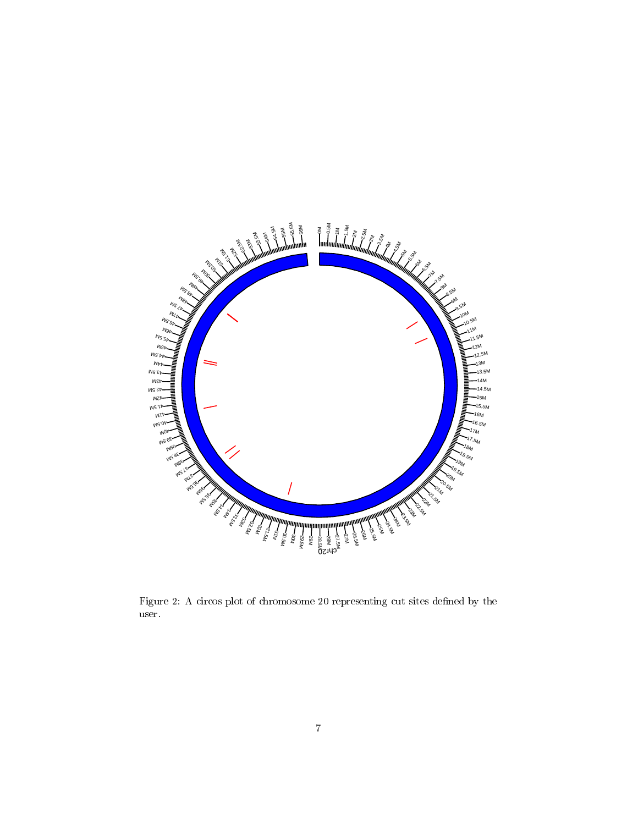

Figure 2: A circos plot of chromosome 20 representing cut sites defined by the user.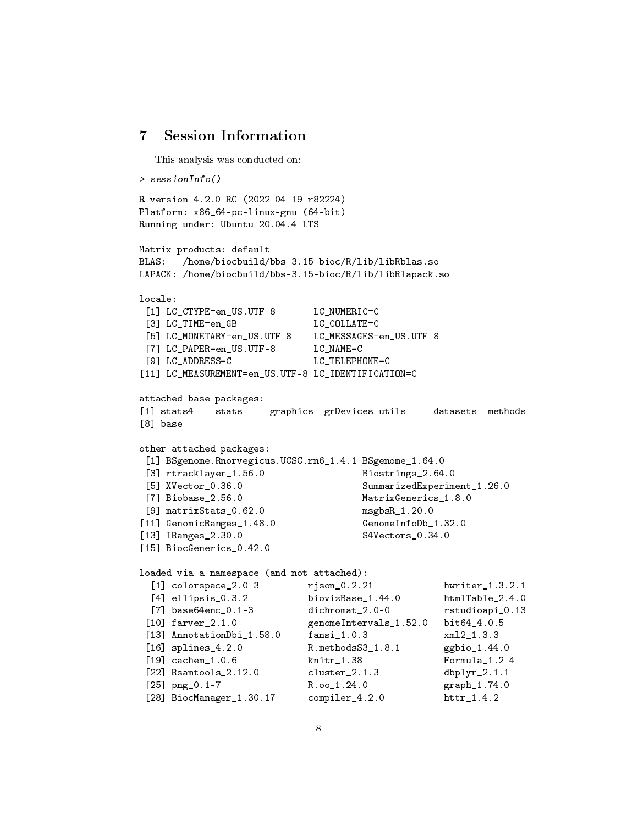## <span id="page-7-0"></span>7 Session Information

This analysis was conducted on:

```
> sessionInfo()
R version 4.2.0 RC (2022-04-19 r82224)
Platform: x86_64-pc-linux-gnu (64-bit)
Running under: Ubuntu 20.04.4 LTS
Matrix products: default
BLAS: /home/biocbuild/bbs-3.15-bioc/R/lib/libRblas.so
LAPACK: /home/biocbuild/bbs-3.15-bioc/R/lib/libRlapack.so
locale:
[1] LC_CTYPE=en_US.UTF-8 LC_NUMERIC=C
[3] LC_TIME=en_GB LC_COLLATE=C
[5] LC_MONETARY=en_US.UTF-8 LC_MESSAGES=en_US.UTF-8
[7] LC_PAPER=en_US.UTF-8 LC_NAME=C
[9] LC_ADDRESS=C LC_TELEPHONE=C
[11] LC_MEASUREMENT=en_US.UTF-8 LC_IDENTIFICATION=C
attached base packages:
[1] stats4 stats graphics grDevices utils datasets methods
[8] base
other attached packages:
[1] BSgenome.Rnorvegicus.UCSC.rn6_1.4.1 BSgenome_1.64.0
[3] rtracklayer_1.56.0 Biostrings_2.64.0
[5] XVector_0.36.0 SummarizedExperiment_1.26.0
[7] Biobase_2.56.0 MatrixGenerics_1.8.0
[9] matrixStats_0.62.0 msgbsR_1.20.0
[11] GenomicRanges_1.48.0 GenomeInfoDb_1.32.0
[13] IRanges_2.30.0 S4Vectors_0.34.0
[15] BiocGenerics_0.42.0
loaded via a namespace (and not attached):
 [1] colorspace_2.0-3 rjson_0.2.21 hwriter_1.3.2.1
 [4] ellipsis_0.3.2 biovizBase_1.44.0 htmlTable_2.4.0
 [7] base64enc 0.1-3 dichromat 2.0-0 rstudioapi 0.13
[10] farver_2.1.0 genomeIntervals_1.52.0 bit64_4.0.5
[13] AnnotationDbi_1.58.0 fansi_1.0.3 xml2_1.3.3
[16] splines_4.2.0 R.methodsS3_1.8.1 ggbio_1.44.0
[19] cachem_1.0.6 knitr_1.38 Formula_1.2-4
[22] Rsamtools_2.12.0 cluster_2.1.3 dbplyr_2.1.1
[25] png_0.1-7 R.oo_1.24.0 graph_1.74.0
[28] BiocManager_1.30.17 compiler_4.2.0 httr_1.4.2
```